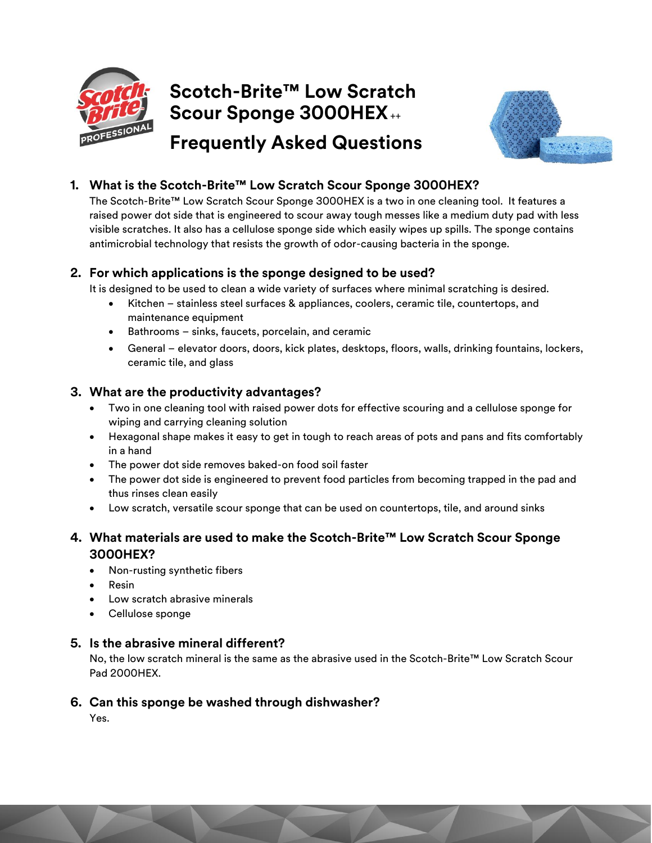

# **Scotch-Brite™ Low Scratch Scour Sponge 3000HEX**++



## **Frequently Asked Questions**

## **1. What is the Scotch-Brite™ Low Scratch Scour Sponge 3000HEX?**

The Scotch-Brite™ Low Scratch Scour Sponge 3000HEX is a two in one cleaning tool. It features a raised power dot side that is engineered to scour away tough messes like a medium duty pad with less visible scratches. It also has a cellulose sponge side which easily wipes up spills. The sponge contains antimicrobial technology that resists the growth of odor-causing bacteria in the sponge.

## **2. For which applications is the sponge designed to be used?**

It is designed to be used to clean a wide variety of surfaces where minimal scratching is desired.

- Kitchen stainless steel surfaces & appliances, coolers, ceramic tile, countertops, and maintenance equipment
- Bathrooms sinks, faucets, porcelain, and ceramic
- General elevator doors, doors, kick plates, desktops, floors, walls, drinking fountains, lockers, ceramic tile, and glass

## **3. What are the productivity advantages?**

- Two in one cleaning tool with raised power dots for effective scouring and a cellulose sponge for wiping and carrying cleaning solution
- Hexagonal shape makes it easy to get in tough to reach areas of pots and pans and fits comfortably in a hand
- The power dot side removes baked-on food soil faster
- The power dot side is engineered to prevent food particles from becoming trapped in the pad and thus rinses clean easily
- Low scratch, versatile scour sponge that can be used on countertops, tile, and around sinks

## **4. What materials are used to make the Scotch-Brite™ Low Scratch Scour Sponge 3000HEX?**

- Non-rusting synthetic fibers
- Resin
- Low scratch abrasive minerals
- Cellulose sponge

## **5. Is the abrasive mineral different?**

No, the low scratch mineral is the same as the abrasive used in the Scotch-Brite™ Low Scratch Scour Pad 2000HEX.

## **6. Can this sponge be washed through dishwasher?**

Yes.